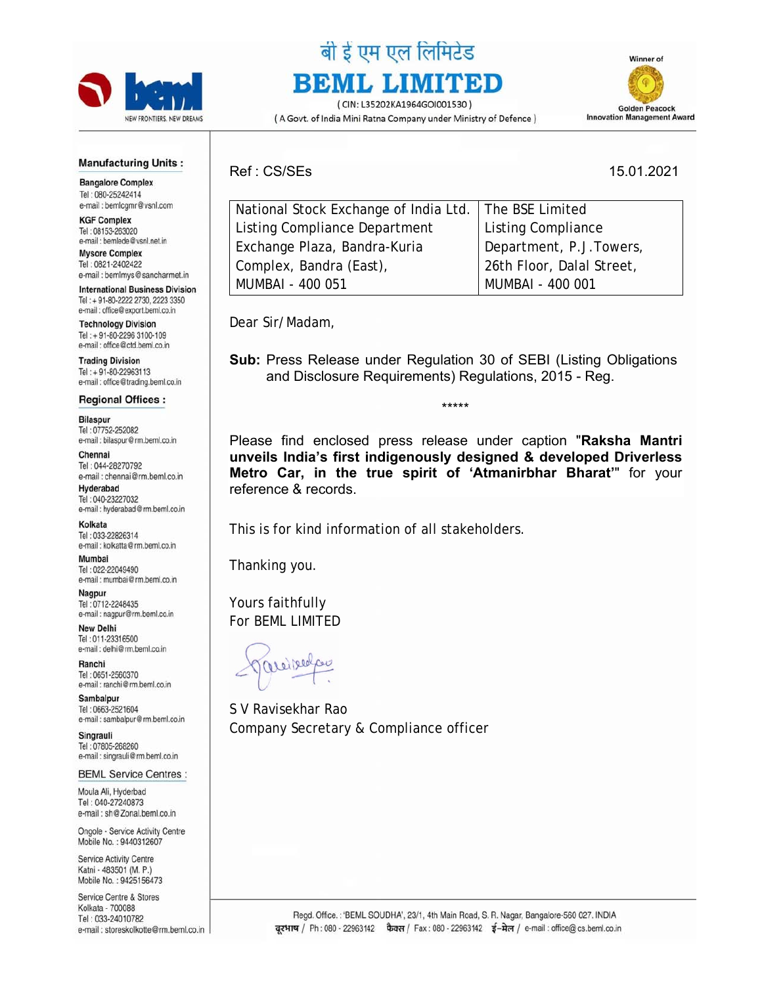

## बी ई एम एल लिमिटेड **BEML LIMITED**

(CIN: L35202KA1964GOI001530) (A Govt. of India Mini Ratna Company under Ministry of Defence)



## **Manufacturing Units:**

**Bangalore Complex** Tel: 080-25242414 e-mail: bemlcgmr@vsnl.com

**KGF Complex** Tel: 08153-263020 e-mail : bemlede@vsnl.net.in **Mysore Complex** 

Tel: 0821-2402422 e-mail : bemlmys@sancharmet.in

**International Business Division** Tel: +91-80-2222 2730, 2223 3350 e-mail : office@export.beml.co.in

**Technology Division** Tel: + 91-80-2296 3100-109 e-mail : office@ctd.beml.co.in

**Trading Division** Tel: + 91-80-22963113 e-mail : office@trading.beml.co.in

**Regional Offices:** 

**Bilaspur** Tel: 07752-252082 e-mail : bilaspur@rm.beml.co.in

Chennai Tel: 044-28270792 e-mail : chennai@rm.beml.co.in Hyderabad

Tel: 040-23227032 e-mail : hyderabad@rm.beml.co.in

Kolkata Tel: 033-22826314 e-mail : kolkatta@rm.beml.co.in

Mumbai Tel: 022-22049490 e-mail: mumbai@rm.beml.co.in

Nagpur Tel: 0712-2248435 e-mail : nagpur@rm.beml.co.in

**New Delhi** Tel: 011-23316500 e-mail : delhi@rm.beml.co.in

Ranchi Tel: 0651-2560370 e-mail: ranchi@rm.beml.co.in

Sambalpur Tel: 0663-2521604 e-mail : sambalpur@rm.beml.co.in

Singrauli Tel: 07805-268260 e-mail : singrauli@rm.beml.co.in

**BEML Service Centres:** 

Moula Ali, Hyderbad Tel: 040-27240873 e-mail: sh@Zonal.beml.co.in

Ongole - Service Activity Centre Mobile No.: 9440312607

Service Activity Centre Katni - 483501 (M. P.) Mobile No.: 9425156473

Service Centre & Stores Kolkata - 700088 Tel: 033-24010782 e-mail: storeskolkotte@rm.beml.co.in Ref : CS/SEs 15.01.2021

| National Stock Exchange of India Ltd.   The BSE Limited |                           |
|---------------------------------------------------------|---------------------------|
| Listing Compliance Department                           | Listing Compliance        |
| Exchange Plaza, Bandra-Kuria                            | Department, P.J. Towers,  |
| Complex, Bandra (East),                                 | 26th Floor, Dalal Street, |
| MUMBAI - 400 051                                        | MUMBAI - 400 001          |
|                                                         |                           |

Dear Sir/Madam,

**Sub:** Press Release under Regulation 30 of SEBI (Listing Obligations and Disclosure Requirements) Regulations, 2015 - Reg.

\*\*\*\*\*

Please find enclosed press release under caption "**Raksha Mantri unveils India's first indigenously designed & developed Driverless Metro Car, in the true spirit of 'Atmanirbhar Bharat'**" for your reference & records.

This is for kind information of all stakeholders.

Thanking you.

Yours faithfully For BEML LIMITED

S V Ravisekhar Rao Company Secretary & Compliance officer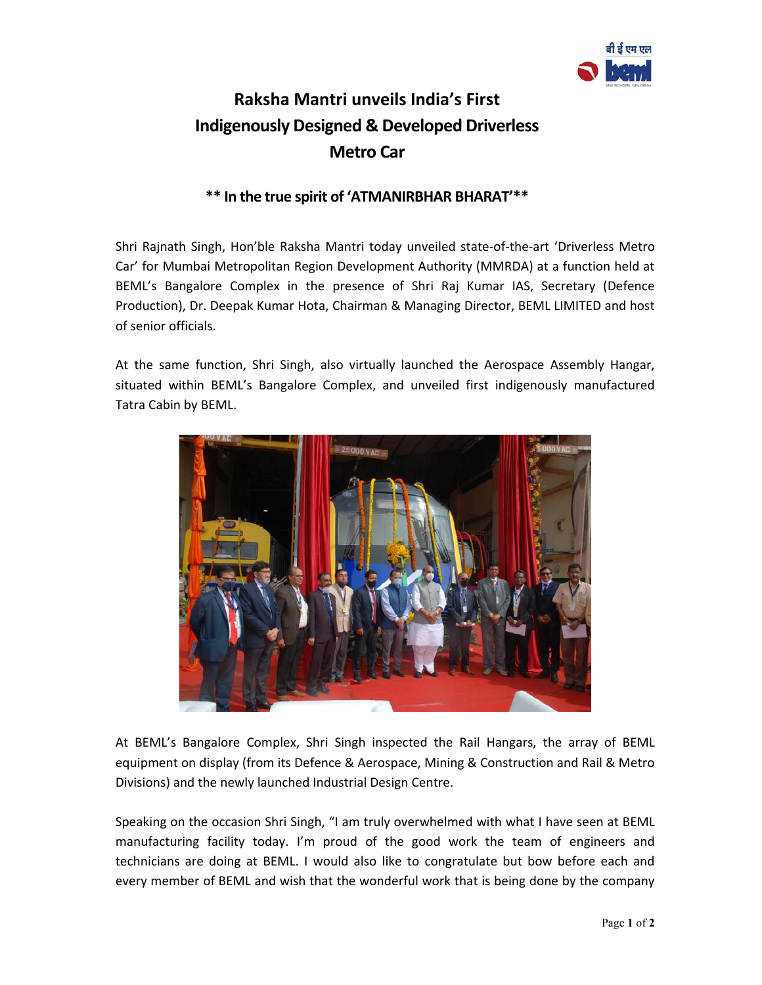

## **Raksha Mantri unveils India's First Indigenously Designed & Developed Driverless Metro Car**

## **\*\* In the true spirit of 'ATMANIRBHAR BHARAT'\*\***

Shri Rajnath Singh, Hon'ble Raksha Mantri today unveiled state‐of‐the‐art 'Driverless Metro Car' for Mumbai Metropolitan Region Development Authority (MMRDA) at a function held at BEML's Bangalore Complex in the presence of Shri Raj Kumar IAS, Secretary (Defence Production), Dr. Deepak Kumar Hota, Chairman & Managing Director, BEML LIMITED and host of senior officials.

At the same function, Shri Singh, also virtually launched the Aerospace Assembly Hangar, situated within BEML's Bangalore Complex, and unveiled first indigenously manufactured Tatra Cabin by BEML.



At BEML's Bangalore Complex, Shri Singh inspected the Rail Hangars, the array of BEML equipment on display (from its Defence & Aerospace, Mining & Construction and Rail & Metro Divisions) and the newly launched Industrial Design Centre.

Speaking on the occasion Shri Singh, "I am truly overwhelmed with what I have seen at BEML manufacturing facility today. I'm proud of the good work the team of engineers and technicians are doing at BEML. I would also like to congratulate but bow before each and every member of BEML and wish that the wonderful work that is being done by the company